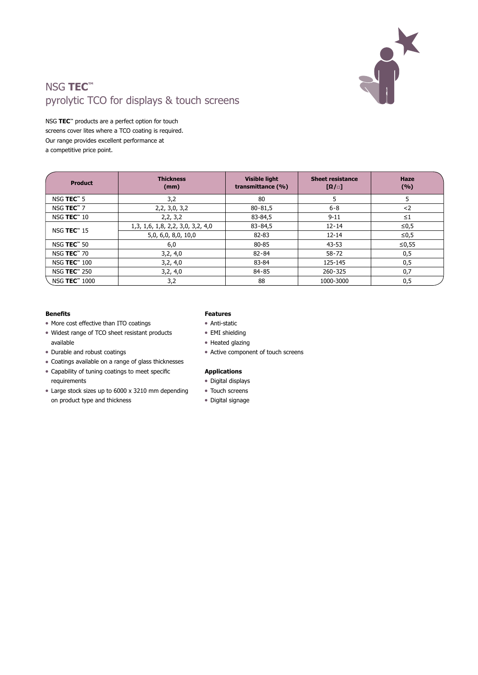

## NSG **TEC™** pyrolytic TCO for displays & touch screens

NSG **TEC™** products are a perfect option for touch screens cover lites where a TCO coating is required. Our range provides excellent performance at a competitive price point.

| <b>Product</b>                      | <b>Thickness</b><br>(mm)                 | <b>Visible light</b><br>transmittance (%) | <b>Sheet resistance</b><br>$[\Omega/\Box]$ | <b>Haze</b><br>(%) |
|-------------------------------------|------------------------------------------|-------------------------------------------|--------------------------------------------|--------------------|
| NSG TEC <sup>™</sup> 5              | 3,2                                      | 80                                        | 5                                          | 5                  |
| NSG TEC <sup><math>m</math></sup> 7 | 2,2,3,0,3,2                              | $80 - 81,5$                               | $6 - 8$                                    | $2$                |
| NSG TEC <sup>™</sup> 10             | 2, 2, 3, 2                               | 83-84,5                                   | $9 - 11$                                   | $\leq 1$           |
| NSG <b>TEC</b> <sup>™</sup> 15      | 1, 3, 1, 6, 1, 8, 2, 2, 3, 0, 3, 2, 4, 0 | $83 - 84,5$                               | $12 - 14$                                  | ≤ $0,5$            |
|                                     | 5,0, 6,0, 8,0, 10,0                      | 82-83                                     | $12 - 14$                                  | $\leq 0.5$         |
| NSG TEC <sup>™</sup> 50             | 6,0                                      | 80-85                                     | 43-53                                      | $≤0,55$            |
| NSG <b>TEC</b> ™ 70                 | 3,2,4,0                                  | $82 - 84$                                 | $58 - 72$                                  | 0,5                |
| NSG <b>TEC</b> <sup>™</sup> 100     | 3,2,4,0                                  | 83-84                                     | 125-145                                    | 0,5                |
| NSG <b>TEC</b> ™ 250                | 3,2,4,0                                  | $84 - 85$                                 | 260-325                                    | 0,7                |
| NSG TEC <sup>™</sup> 1000           | 3,2                                      | 88                                        | 1000-3000                                  | 0,5                |

## **Benefits**

- More cost effective than ITO coatings
- Widest range of TCO sheet resistant products available
- $\bullet$  Durable and robust coatings
- Coatings available on a range of glass thicknesses
- Capability of tuning coatings to meet specific requirements
- Large stock sizes up to 6000 x 3210 mm depending on product type and thickness

## **Features**

- Anti-static
- EMI shielding
- Heated glazing
- $\bullet$  Active component of touch screens

## **Applications**

- Digital displays
- Touch screens
- Digital signage